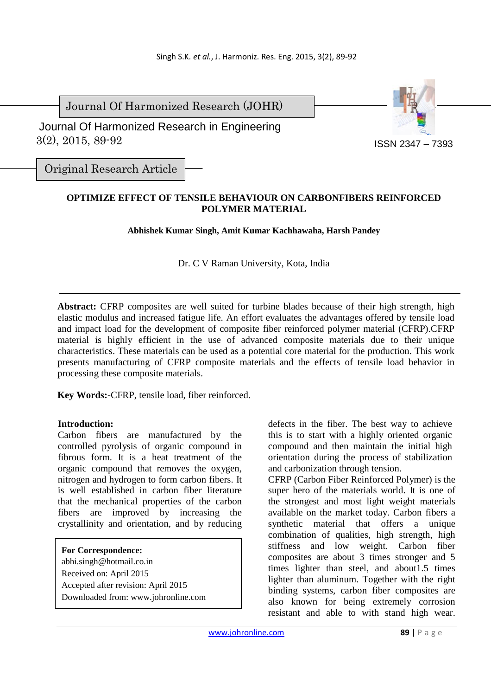Journal Of Harmonized Research (JOHR)

 3(2), 2015, 89-92 Journal Of Harmonized Research in Engineering



Original Research Article

# **OPTIMIZE EFFECT OF TENSILE BEHAVIOUR ON CARBONFIBERS REINFORCED POLYMER MATERIAL**

**Abhishek Kumar Singh, Amit Kumar Kachhawaha, Harsh Pandey** 

Dr. C V Raman University, Kota, India

**Abstract:** CFRP composites are well suited for turbine blades because of their high strength, high elastic modulus and increased fatigue life. An effort evaluates the advantages offered by tensile load and impact load for the development of composite fiber reinforced polymer material (CFRP).CFRP material is highly efficient in the use of advanced composite materials due to their unique characteristics. These materials can be used as a potential core material for the production. This work presents manufacturing of CFRP composite materials and the effects of tensile load behavior in processing these composite materials.

**Key Words:-**CFRP, tensile load, fiber reinforced.

### **Introduction:**

Carbon fibers are manufactured by the controlled pyrolysis of organic compound in fibrous form. It is a heat treatment of the organic compound that removes the oxygen, nitrogen and hydrogen to form carbon fibers. It is well established in carbon fiber literature that the mechanical properties of the carbon fibers are improved by increasing the crystallinity and orientation, and by reducing

#### **For Correspondence:**

abhi.singh@hotmail.co.in Received on: April 2015 Accepted after revision: April 2015 Downloaded from: www.johronline.com defects in the fiber. The best way to achieve this is to start with a highly oriented organic compound and then maintain the initial high orientation during the process of stabilization and carbonization through tension.

CFRP (Carbon Fiber Reinforced Polymer) is the super hero of the materials world. It is one of the strongest and most light weight materials available on the market today. Carbon fibers a synthetic material that offers a unique combination of qualities, high strength, high stiffness and low weight. Carbon fiber composites are about 3 times stronger and 5 times lighter than steel, and about1.5 times lighter than aluminum. Together with the right binding systems, carbon fiber composites are also known for being extremely corrosion resistant and able to with stand high wear.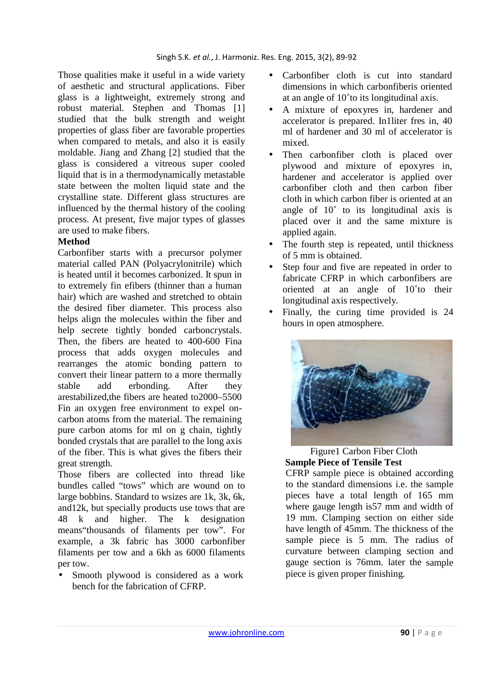Those qualities make it useful in a wide variety of aesthetic and structural applications. Fiber glass is a lightweight, extremely strong and robust material. Stephen and Thomas [1] studied that the bulk strength and weight properties of glass fiber are favorable properties when compared to metals, and also it is easily moldable. Jiang and Zhang [2] studied that the glass is considered a vitreous super cooled liquid that is in a thermodynamically metastable state between the molten liquid state and the crystalline state. Different glass structures are influenced by the thermal history of the cooling process. At present, five major types of glasses are used to make fibers.

## **Method**

Carbonfiber starts with a precursor polymer material called PAN (Polyacrylonitrile) which is heated until it becomes carbonized. It spun in to extremely fin efibers (thinner than a human hair) which are washed and stretched to obtain the desired fiber diameter. This process also helps align the molecules within the fiber and help secrete tightly bonded carboncrystals. Then, the fibers are heated to 400-600 Fina process that adds oxygen molecules and rearranges the atomic bonding pattern to convert their linear pattern to a more thermally stable add erbonding. After they arestabilized,the fibers are heated to2000–5500 Fin an oxygen free environment to expel oncarbon atoms from the material. The remaining pure carbon atoms for ml on g chain, tightly bonded crystals that are parallel to the long axis of the fiber. This is what gives the fibers their great strength.

Those fibers are collected into thread like bundles called "tows" which are wound on to large bobbins. Standard to wsizes are 1k, 3k, 6k, and12k, but specially products use tows that are 48 k and higher. The k designation means"thousands of filaments per tow". For example, a 3k fabric has 3000 carbonfiber filaments per tow and a 6kh as 6000 filaments per tow.

Smooth plywood is considered as a work bench for the fabrication of CFRP.

- Carbonfiber cloth is cut into standard dimensions in which carbonfiberis oriented at an angle of 10˚to its longitudinal axis.
- A mixture of epoxyres in, hardener and accelerator is prepared. In1liter fres in, 40 ml of hardener and 30 ml of accelerator is mixed.
- Then carbonfiber cloth is placed over plywood and mixture of epoxyres in, hardener and accelerator is applied over carbonfiber cloth and then carbon fiber cloth in which carbon fiber is oriented at an angle of 10˚ to its longitudinal axis is placed over it and the same mixture is applied again.
- The fourth step is repeated, until thickness of 5 mm is obtained.
- Step four and five are repeated in order to fabricate CFRP in which carbonfibers are oriented at an angle of 10˚to their longitudinal axis respectively.
- Finally, the curing time provided is 24 hours in open atmosphere.



## Figure1 Carbon Fiber Cloth **Sample Piece of Tensile Test**

CFRP sample piece is obtained according to the standard dimensions i.e. the sample pieces have a total length of 165 mm where gauge length is57 mm and width of 19 mm. Clamping section on either side have length of 45mm. The thickness of the sample piece is 5 mm. The radius of curvature between clamping section and gauge section is 76mm. later the sample piece is given proper finishing.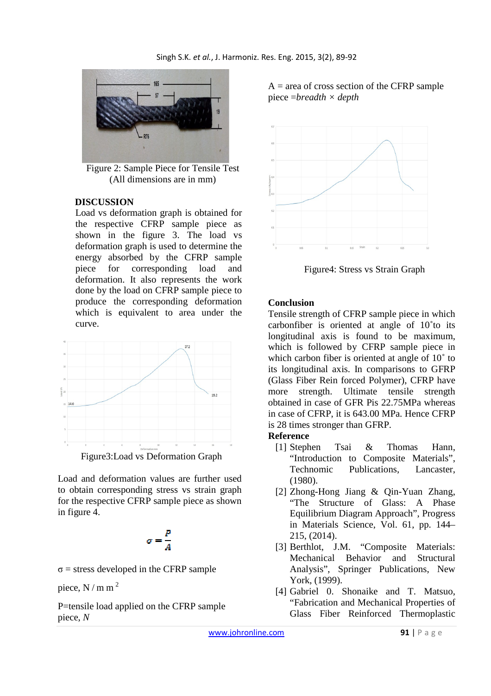

Figure 2: Sample Piece for Tensile Test (All dimensions are in mm)

### **DISCUSSION**

Load vs deformation graph is obtained for the respective CFRP sample piece as shown in the figure 3. The load vs deformation graph is used to determine the energy absorbed by the CFRP sample piece for corresponding load and deformation. It also represents the work done by the load on CFRP sample piece to produce the corresponding deformation which is equivalent to area under the curve.



Figure3:Load vs Deformation Graph

Load and deformation values are further used to obtain corresponding stress vs strain graph for the respective CFRP sample piece as shown in figure 4.

$$
\sigma = \frac{P}{A}
$$

 $\sigma$  = stress developed in the CFRP sample

piece,  $N/m m<sup>2</sup>$ 

P=tensile load applied on the CFRP sample piece, *N*

 $A = \text{area of cross section of the CFRP sample}$ piece =*breadth × depth* 



Figure4: Stress vs Strain Graph

### **Conclusion**

Tensile strength of CFRP sample piece in which carbonfiber is oriented at angle of 10˚to its longitudinal axis is found to be maximum, which is followed by CFRP sample piece in which carbon fiber is oriented at angle of 10 $^{\circ}$  to its longitudinal axis. In comparisons to GFRP (Glass Fiber Rein forced Polymer), CFRP have more strength. Ultimate tensile strength obtained in case of GFR Pis 22.75MPa whereas in case of CFRP, it is 643.00 MPa. Hence CFRP is 28 times stronger than GFRP.

#### **Reference**

- [1] Stephen Tsai & Thomas Hann, "Introduction to Composite Materials", Technomic Publications, Lancaster, (1980).
- [2] Zhong-Hong Jiang & Qin-Yuan Zhang, "The Structure of Glass: A Phase Equilibrium Diagram Approach", Progress in Materials Science, Vol. 61, pp. 144– 215, (2014).
- [3] Berthlot, J.M. "Composite Materials: Mechanical Behavior and Structural Analysis", Springer Publications, New York, (1999).
- [4] Gabriel 0. Shonaike and T. Matsuo, "Fabrication and Mechanical Properties of Glass Fiber Reinforced Thermoplastic